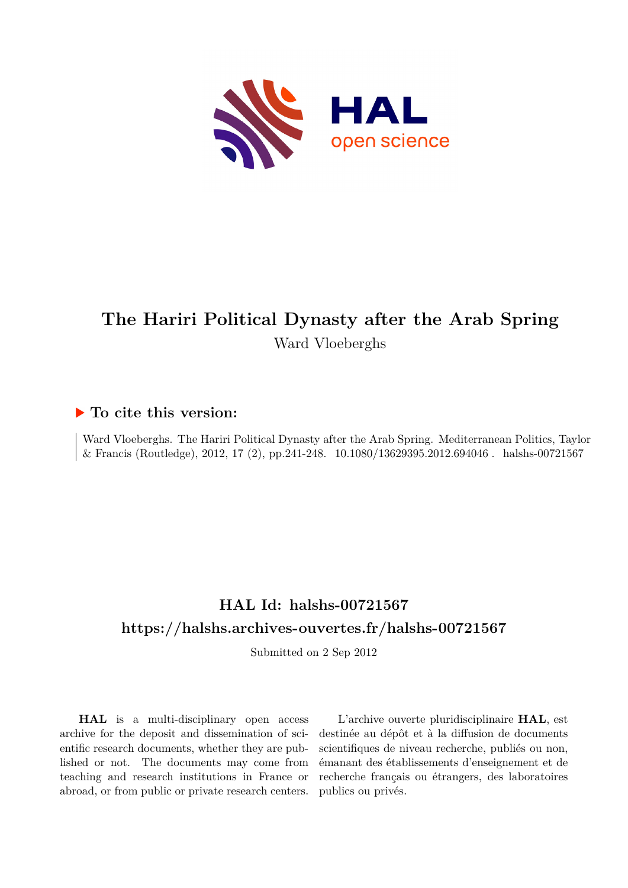

# **The Hariri Political Dynasty after the Arab Spring** Ward Vloeberghs

## **To cite this version:**

Ward Vloeberghs. The Hariri Political Dynasty after the Arab Spring. Mediterranean Politics, Taylor & Francis (Routledge), 2012, 17 (2), pp.241-248.  $10.1080/13629395.2012.694046$ . halshs-00721567

## **HAL Id: halshs-00721567 <https://halshs.archives-ouvertes.fr/halshs-00721567>**

Submitted on 2 Sep 2012

**HAL** is a multi-disciplinary open access archive for the deposit and dissemination of scientific research documents, whether they are published or not. The documents may come from teaching and research institutions in France or abroad, or from public or private research centers.

L'archive ouverte pluridisciplinaire **HAL**, est destinée au dépôt et à la diffusion de documents scientifiques de niveau recherche, publiés ou non, émanant des établissements d'enseignement et de recherche français ou étrangers, des laboratoires publics ou privés.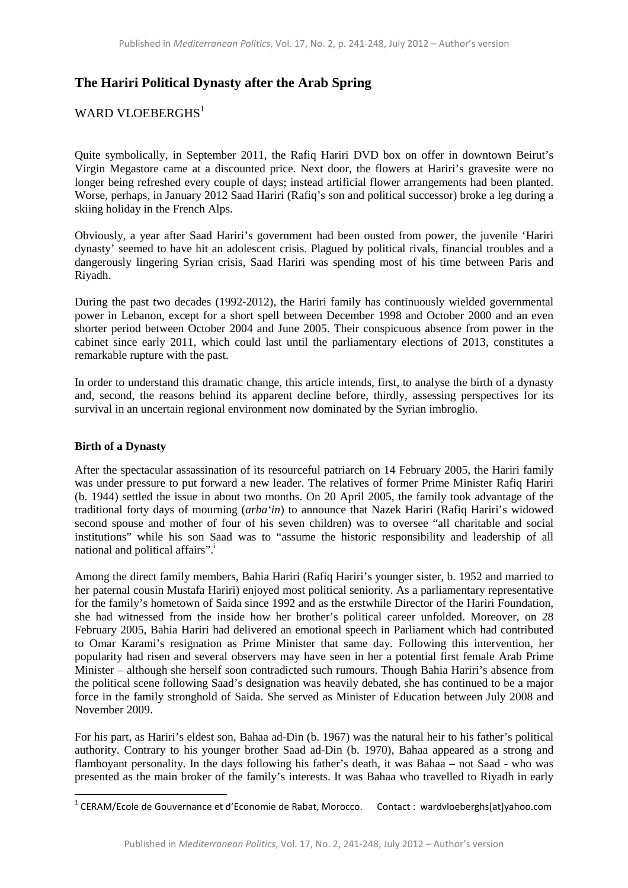## **The Hariri Political Dynasty after the Arab Spring**

## WARD VLOEBERGHS $<sup>1</sup>$ </sup>

Quite symbolically, in September 2011, the Rafiq Hariri DVD box on offer in downtown Beirut's Virgin Megastore came at a discounted price. Next door, the flowers at Hariri's gravesite were no longer being refreshed every couple of days; instead artificial flower arrangements had been planted. Worse, perhaps, in January 2012 Saad Hariri (Rafiq's son and political successor) broke a leg during a skiing holiday in the French Alps.

Obviously, a year after Saad Hariri's government had been ousted from power, the juvenile 'Hariri dynasty' seemed to have hit an adolescent crisis. Plagued by political rivals, financial troubles and a dangerously lingering Syrian crisis, Saad Hariri was spending most of his time between Paris and Riyadh.

During the past two decades (1992-2012), the Hariri family has continuously wielded governmental power in Lebanon, except for a short spell between December 1998 and October 2000 and an even shorter period between October 2004 and June 2005. Their conspicuous absence from power in the cabinet since early 2011, which could last until the parliamentary elections of 2013, constitutes a remarkable rupture with the past.

In order to understand this dramatic change, this article intends, first, to analyse the birth of a dynasty and, second, the reasons behind its apparent decline before, thirdly, assessing perspectives for its survival in an uncertain regional environment now dominated by the Syrian imbroglio.

### **Birth of a Dynasty**

After the spectacular assassination of its resourceful patriarch on 14 February 2005, the Hariri family was under pressure to put forward a new leader. The relatives of former Prime Minister Rafiq Hariri (b. 1944) settled the issue in about two months. On 20 April 2005, the family took advantage of the traditional forty days of mourning (*arba'in*) to announce that Nazek Hariri (Rafiq Hariri's widowed second spouse and mother of four of his seven children) was to oversee "all charitable and social institutions" while his son Saad was to "assume the historic responsibility and leadership of all national and political affairs".

Among the direct family members, Bahia Hariri (Rafiq Hariri's younger sister, b. 1952 and married to her paternal cousin Mustafa Hariri) enjoyed most political seniority. As a parliamentary representative for the family's hometown of Saida since 1992 and as the erstwhile Director of the Hariri Foundation, she had witnessed from the inside how her brother's political career unfolded. Moreover, on 28 February 2005, Bahia Hariri had delivered an emotional speech in Parliament which had contributed to Omar Karami's resignation as Prime Minister that same day. Following this intervention, her popularity had risen and several observers may have seen in her a potential first female Arab Prime Minister – although she herself soon contradicted such rumours. Though Bahia Hariri's absence from the political scene following Saad's designation was heavily debated, she has continued to be a major force in the family stronghold of Saida. She served as Minister of Education between July 2008 and November 2009.

For his part, as Hariri's eldest son, Bahaa ad-Din (b. 1967) was the natural heir to his father's political authority. Contrary to his younger brother Saad ad-Din (b. 1970), Bahaa appeared as a strong and flamboyant personality. In the days following his father's death, it was Bahaa – not Saad - who was presented as the main broker of the family's interests. It was Bahaa who travelled to Riyadh in early

 $1$  CERAM/Ecole de Gouvernance et d'Economie de Rabat, Morocco.  $1$  Contact : wardvloeberghs[at]yahoo.com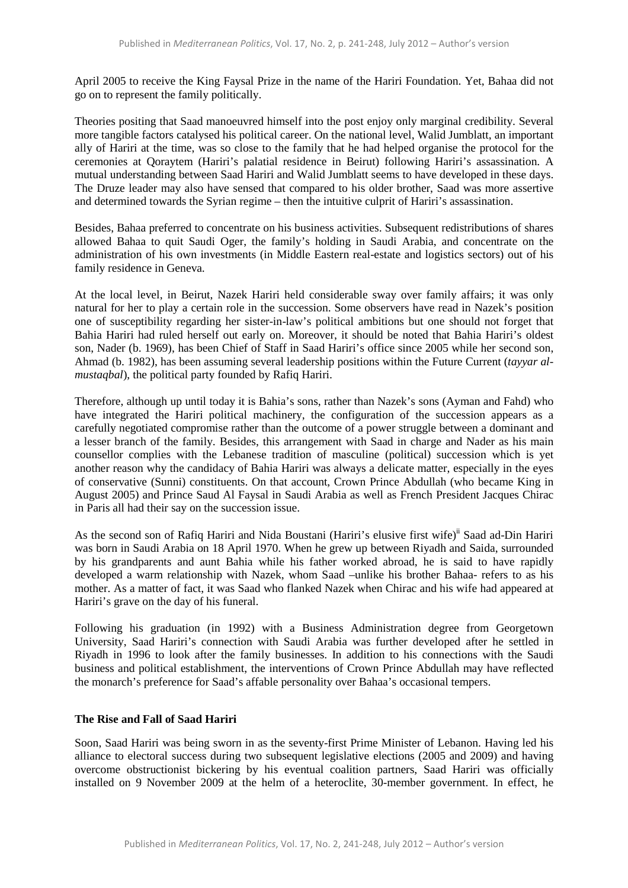April 2005 to receive the King Faysal Prize in the name of the Hariri Foundation. Yet, Bahaa did not go on to represent the family politically.

Theories positing that Saad manoeuvred himself into the post enjoy only marginal credibility. Several more tangible factors catalysed his political career. On the national level, Walid Jumblatt, an important ally of Hariri at the time, was so close to the family that he had helped organise the protocol for the ceremonies at Qoraytem (Hariri's palatial residence in Beirut) following Hariri's assassination. A mutual understanding between Saad Hariri and Walid Jumblatt seems to have developed in these days. The Druze leader may also have sensed that compared to his older brother, Saad was more assertive and determined towards the Syrian regime – then the intuitive culprit of Hariri's assassination.

Besides, Bahaa preferred to concentrate on his business activities. Subsequent redistributions of shares allowed Bahaa to quit Saudi Oger, the family's holding in Saudi Arabia, and concentrate on the administration of his own investments (in Middle Eastern real-estate and logistics sectors) out of his family residence in Geneva.

At the local level, in Beirut, Nazek Hariri held considerable sway over family affairs; it was only natural for her to play a certain role in the succession. Some observers have read in Nazek's position one of susceptibility regarding her sister-in-law's political ambitions but one should not forget that Bahia Hariri had ruled herself out early on. Moreover, it should be noted that Bahia Hariri's oldest son, Nader (b. 1969), has been Chief of Staff in Saad Hariri's office since 2005 while her second son, Ahmad (b. 1982), has been assuming several leadership positions within the Future Current (*tayyar almustaqbal*), the political party founded by Rafiq Hariri.

Therefore, although up until today it is Bahia's sons, rather than Nazek's sons (Ayman and Fahd) who have integrated the Hariri political machinery, the configuration of the succession appears as a carefully negotiated compromise rather than the outcome of a power struggle between a dominant and a lesser branch of the family. Besides, this arrangement with Saad in charge and Nader as his main counsellor complies with the Lebanese tradition of masculine (political) succession which is yet another reason why the candidacy of Bahia Hariri was always a delicate matter, especially in the eyes of conservative (Sunni) constituents. On that account, Crown Prince Abdullah (who became King in August 2005) and Prince Saud Al Faysal in Saudi Arabia as well as French President Jacques Chirac in Paris all had their say on the succession issue.

As the second son of Rafiq Hariri and Nida Boustani (Hariri's elusive first wife)<sup>ii</sup> Saad ad-Din Hariri was born in Saudi Arabia on 18 April 1970. When he grew up between Riyadh and Saida, surrounded by his grandparents and aunt Bahia while his father worked abroad, he is said to have rapidly developed a warm relationship with Nazek, whom Saad –unlike his brother Bahaa- refers to as his mother. As a matter of fact, it was Saad who flanked Nazek when Chirac and his wife had appeared at Hariri's grave on the day of his funeral.

Following his graduation (in 1992) with a Business Administration degree from Georgetown University, Saad Hariri's connection with Saudi Arabia was further developed after he settled in Riyadh in 1996 to look after the family businesses. In addition to his connections with the Saudi business and political establishment, the interventions of Crown Prince Abdullah may have reflected the monarch's preference for Saad's affable personality over Bahaa's occasional tempers.

### **The Rise and Fall of Saad Hariri**

Soon, Saad Hariri was being sworn in as the seventy-first Prime Minister of Lebanon. Having led his alliance to electoral success during two subsequent legislative elections (2005 and 2009) and having overcome obstructionist bickering by his eventual coalition partners, Saad Hariri was officially installed on 9 November 2009 at the helm of a heteroclite, 30-member government. In effect, he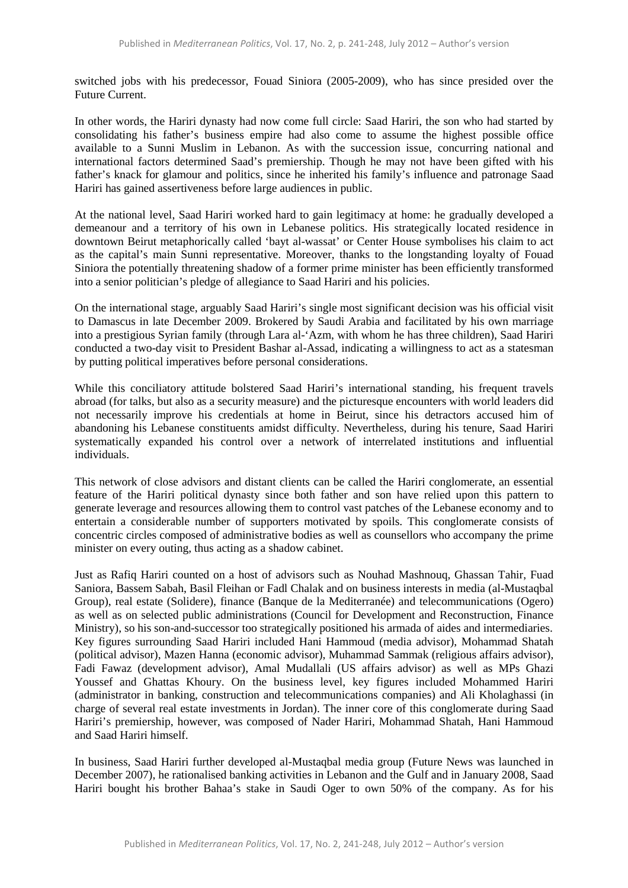switched jobs with his predecessor, Fouad Siniora (2005-2009), who has since presided over the Future Current.

In other words, the Hariri dynasty had now come full circle: Saad Hariri, the son who had started by consolidating his father's business empire had also come to assume the highest possible office available to a Sunni Muslim in Lebanon. As with the succession issue, concurring national and international factors determined Saad's premiership. Though he may not have been gifted with his father's knack for glamour and politics, since he inherited his family's influence and patronage Saad Hariri has gained assertiveness before large audiences in public.

At the national level, Saad Hariri worked hard to gain legitimacy at home: he gradually developed a demeanour and a territory of his own in Lebanese politics. His strategically located residence in downtown Beirut metaphorically called 'bayt al-wassat' or Center House symbolises his claim to act as the capital's main Sunni representative. Moreover, thanks to the longstanding loyalty of Fouad Siniora the potentially threatening shadow of a former prime minister has been efficiently transformed into a senior politician's pledge of allegiance to Saad Hariri and his policies.

On the international stage, arguably Saad Hariri's single most significant decision was his official visit to Damascus in late December 2009. Brokered by Saudi Arabia and facilitated by his own marriage into a prestigious Syrian family (through Lara al-'Azm, with whom he has three children), Saad Hariri conducted a two-day visit to President Bashar al-Assad, indicating a willingness to act as a statesman by putting political imperatives before personal considerations.

While this conciliatory attitude bolstered Saad Hariri's international standing, his frequent travels abroad (for talks, but also as a security measure) and the picturesque encounters with world leaders did not necessarily improve his credentials at home in Beirut, since his detractors accused him of abandoning his Lebanese constituents amidst difficulty. Nevertheless, during his tenure, Saad Hariri systematically expanded his control over a network of interrelated institutions and influential individuals.

This network of close advisors and distant clients can be called the Hariri conglomerate, an essential feature of the Hariri political dynasty since both father and son have relied upon this pattern to generate leverage and resources allowing them to control vast patches of the Lebanese economy and to entertain a considerable number of supporters motivated by spoils. This conglomerate consists of concentric circles composed of administrative bodies as well as counsellors who accompany the prime minister on every outing, thus acting as a shadow cabinet.

Just as Rafiq Hariri counted on a host of advisors such as Nouhad Mashnouq, Ghassan Tahir, Fuad Saniora, Bassem Sabah, Basil Fleihan or Fadl Chalak and on business interests in media (al-Mustaqbal Group), real estate (Solidere), finance (Banque de la Mediterranée) and telecommunications (Ogero) as well as on selected public administrations (Council for Development and Reconstruction, Finance Ministry), so his son-and-successor too strategically positioned his armada of aides and intermediaries. Key figures surrounding Saad Hariri included Hani Hammoud (media advisor), Mohammad Shatah (political advisor), Mazen Hanna (economic advisor), Muhammad Sammak (religious affairs advisor), Fadi Fawaz (development advisor), Amal Mudallali (US affairs advisor) as well as MPs Ghazi Youssef and Ghattas Khoury. On the business level, key figures included Mohammed Hariri (administrator in banking, construction and telecommunications companies) and Ali Kholaghassi (in charge of several real estate investments in Jordan). The inner core of this conglomerate during Saad Hariri's premiership, however, was composed of Nader Hariri, Mohammad Shatah, Hani Hammoud and Saad Hariri himself.

In business, Saad Hariri further developed al-Mustaqbal media group (Future News was launched in December 2007), he rationalised banking activities in Lebanon and the Gulf and in January 2008, Saad Hariri bought his brother Bahaa's stake in Saudi Oger to own 50% of the company. As for his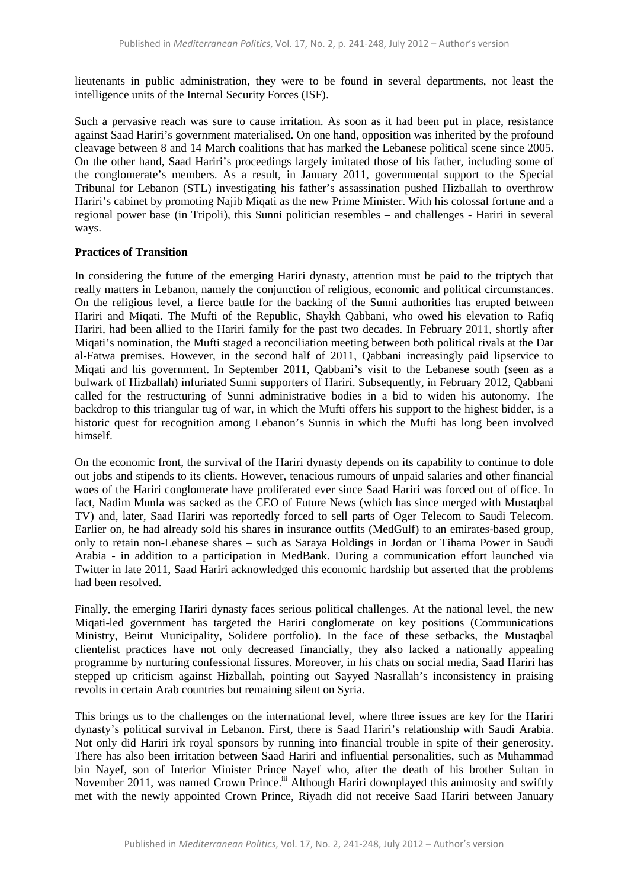lieutenants in public administration, they were to be found in several departments, not least the intelligence units of the Internal Security Forces (ISF).

Such a pervasive reach was sure to cause irritation. As soon as it had been put in place, resistance against Saad Hariri's government materialised. On one hand, opposition was inherited by the profound cleavage between 8 and 14 March coalitions that has marked the Lebanese political scene since 2005. On the other hand, Saad Hariri's proceedings largely imitated those of his father, including some of the conglomerate's members. As a result, in January 2011, governmental support to the Special Tribunal for Lebanon (STL) investigating his father's assassination pushed Hizballah to overthrow Hariri's cabinet by promoting Najib Miqati as the new Prime Minister. With his colossal fortune and a regional power base (in Tripoli), this Sunni politician resembles – and challenges - Hariri in several ways.

### **Practices of Transition**

In considering the future of the emerging Hariri dynasty, attention must be paid to the triptych that really matters in Lebanon, namely the conjunction of religious, economic and political circumstances. On the religious level, a fierce battle for the backing of the Sunni authorities has erupted between Hariri and Miqati. The Mufti of the Republic, Shaykh Qabbani, who owed his elevation to Rafiq Hariri, had been allied to the Hariri family for the past two decades. In February 2011, shortly after Miqati's nomination, the Mufti staged a reconciliation meeting between both political rivals at the Dar al-Fatwa premises. However, in the second half of 2011, Qabbani increasingly paid lipservice to Miqati and his government. In September 2011, Qabbani's visit to the Lebanese south (seen as a bulwark of Hizballah) infuriated Sunni supporters of Hariri. Subsequently, in February 2012, Qabbani called for the restructuring of Sunni administrative bodies in a bid to widen his autonomy. The backdrop to this triangular tug of war, in which the Mufti offers his support to the highest bidder, is a historic quest for recognition among Lebanon's Sunnis in which the Mufti has long been involved himself.

On the economic front, the survival of the Hariri dynasty depends on its capability to continue to dole out jobs and stipends to its clients. However, tenacious rumours of unpaid salaries and other financial woes of the Hariri conglomerate have proliferated ever since Saad Hariri was forced out of office. In fact, Nadim Munla was sacked as the CEO of Future News (which has since merged with Mustaqbal TV) and, later, Saad Hariri was reportedly forced to sell parts of Oger Telecom to Saudi Telecom. Earlier on, he had already sold his shares in insurance outfits (MedGulf) to an emirates-based group, only to retain non-Lebanese shares – such as Saraya Holdings in Jordan or Tihama Power in Saudi Arabia - in addition to a participation in MedBank. During a communication effort launched via Twitter in late 2011, Saad Hariri acknowledged this economic hardship but asserted that the problems had been resolved.

Finally, the emerging Hariri dynasty faces serious political challenges. At the national level, the new Miqati-led government has targeted the Hariri conglomerate on key positions (Communications Ministry, Beirut Municipality, Solidere portfolio). In the face of these setbacks, the Mustaqbal clientelist practices have not only decreased financially, they also lacked a nationally appealing programme by nurturing confessional fissures. Moreover, in his chats on social media, Saad Hariri has stepped up criticism against Hizballah, pointing out Sayyed Nasrallah's inconsistency in praising revolts in certain Arab countries but remaining silent on Syria.

This brings us to the challenges on the international level, where three issues are key for the Hariri dynasty's political survival in Lebanon. First, there is Saad Hariri's relationship with Saudi Arabia. Not only did Hariri irk royal sponsors by running into financial trouble in spite of their generosity. There has also been irritation between Saad Hariri and influential personalities, such as Muhammad bin Nayef, son of Interior Minister Prince Nayef who, after the death of his brother Sultan in November 2011, was named Crown Prince.<sup>iii</sup> Although Hariri downplayed this animosity and swiftly met with the newly appointed Crown Prince, Riyadh did not receive Saad Hariri between January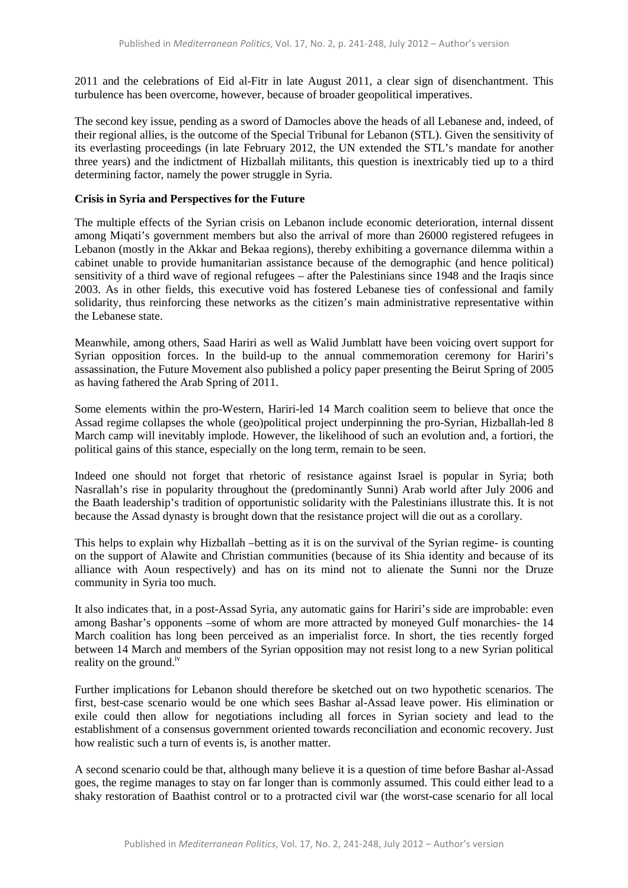2011 and the celebrations of Eid al-Fitr in late August 2011, a clear sign of disenchantment. This turbulence has been overcome, however, because of broader geopolitical imperatives.

The second key issue, pending as a sword of Damocles above the heads of all Lebanese and, indeed, of their regional allies, is the outcome of the Special Tribunal for Lebanon (STL). Given the sensitivity of its everlasting proceedings (in late February 2012, the UN extended the STL's mandate for another three years) and the indictment of Hizballah militants, this question is inextricably tied up to a third determining factor, namely the power struggle in Syria.

### **Crisis in Syria and Perspectives for the Future**

The multiple effects of the Syrian crisis on Lebanon include economic deterioration, internal dissent among Miqati's government members but also the arrival of more than 26000 registered refugees in Lebanon (mostly in the Akkar and Bekaa regions), thereby exhibiting a governance dilemma within a cabinet unable to provide humanitarian assistance because of the demographic (and hence political) sensitivity of a third wave of regional refugees – after the Palestinians since 1948 and the Iraqis since 2003. As in other fields, this executive void has fostered Lebanese ties of confessional and family solidarity, thus reinforcing these networks as the citizen's main administrative representative within the Lebanese state.

Meanwhile, among others, Saad Hariri as well as Walid Jumblatt have been voicing overt support for Syrian opposition forces. In the build-up to the annual commemoration ceremony for Hariri's assassination, the Future Movement also published a policy paper presenting the Beirut Spring of 2005 as having fathered the Arab Spring of 2011.

Some elements within the pro-Western, Hariri-led 14 March coalition seem to believe that once the Assad regime collapses the whole (geo)political project underpinning the pro-Syrian, Hizballah-led 8 March camp will inevitably implode. However, the likelihood of such an evolution and, a fortiori, the political gains of this stance, especially on the long term, remain to be seen.

Indeed one should not forget that rhetoric of resistance against Israel is popular in Syria; both Nasrallah's rise in popularity throughout the (predominantly Sunni) Arab world after July 2006 and the Baath leadership's tradition of opportunistic solidarity with the Palestinians illustrate this. It is not because the Assad dynasty is brought down that the resistance project will die out as a corollary.

This helps to explain why Hizballah –betting as it is on the survival of the Syrian regime- is counting on the support of Alawite and Christian communities (because of its Shia identity and because of its alliance with Aoun respectively) and has on its mind not to alienate the Sunni nor the Druze community in Syria too much.

It also indicates that, in a post-Assad Syria, any automatic gains for Hariri's side are improbable: even among Bashar's opponents –some of whom are more attracted by moneyed Gulf monarchies- the 14 March coalition has long been perceived as an imperialist force. In short, the ties recently forged between 14 March and members of the Syrian opposition may not resist long to a new Syrian political reality on the ground.<sup>iv</sup>

Further implications for Lebanon should therefore be sketched out on two hypothetic scenarios. The first, best-case scenario would be one which sees Bashar al-Assad leave power. His elimination or exile could then allow for negotiations including all forces in Syrian society and lead to the establishment of a consensus government oriented towards reconciliation and economic recovery. Just how realistic such a turn of events is, is another matter.

A second scenario could be that, although many believe it is a question of time before Bashar al-Assad goes, the regime manages to stay on far longer than is commonly assumed. This could either lead to a shaky restoration of Baathist control or to a protracted civil war (the worst-case scenario for all local